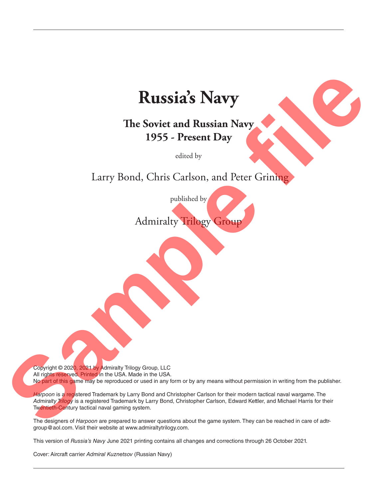# **Russia's Navy**

## **The Soviet and Russian Navy 1955 - Present Day**

edited by

Larry Bond, Chris Carlson, and Peter Grining

published by Admiralty Trilogy Group

Copyright © 2020, 2021 by Admiralty Trilogy Group, LLC All rights reserved. Printed in the USA. Made in the USA. No part of this game may be reproduced or used in any form or by any means without permission in writing from the publisher.

Harpoon is a registered Trademark by Larry Bond and Christopher Carlson for their modern tactical naval wargame. The *Admiralty Trilogy* is a registered Trademark by Larry Bond, Christopher Carlson, Edward Kettler, and Michael Harris for their Twentieth-Century tactical naval gaming system. **Sample Filters School and Russian Navy<br>
1955 - Present Day<br>
1955 - Present Day<br>
Larry Bond, Chris Carlson, and Peter Griming<br>
political by<br>
Admiralay Village Croup<br>
Admiralay Village Croup<br>
Croup Carls and the company of** 

The designers of *Harpoon* are prepared to answer questions about the game system. They can be reached in care of adtrgroup@aol.com. Visit their website at www.admiraltytrilogy.com.

This version of *Russia's Navy* June 2021 printing contains all changes and corrections through 26 October 2021.

Cover: Aircraft carrier *Admiral Kuznetsov* (Russian Navy)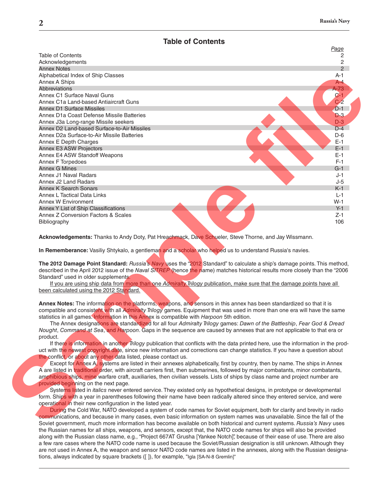#### **Table of Contents**

|                                                                                                                                                                                                                                                      | Page          |
|------------------------------------------------------------------------------------------------------------------------------------------------------------------------------------------------------------------------------------------------------|---------------|
| <b>Table of Contents</b>                                                                                                                                                                                                                             | 2             |
| Acknowledgements                                                                                                                                                                                                                                     | 2             |
| <b>Annex Notes</b>                                                                                                                                                                                                                                   | $\mathcal{P}$ |
| Alphabetical Index of Ship Classes                                                                                                                                                                                                                   | $A-1$         |
| Annex A Ships                                                                                                                                                                                                                                        | $A - 4$       |
| <b>Abbreviations</b>                                                                                                                                                                                                                                 | $A-73$        |
| Annex C1 Surface Naval Guns                                                                                                                                                                                                                          | $C-1$         |
| Annex C1a Land-based Antiaircraft Guns                                                                                                                                                                                                               | $C-2$         |
| Annex D1 Surface Missiles                                                                                                                                                                                                                            | $D-1$         |
| Annex D1a Coast Defense Missile Batteries                                                                                                                                                                                                            | $D-3$         |
| Annex J3a Long-range Missile seekers                                                                                                                                                                                                                 | $D-3$         |
| Annex D2 Land-based Surface-to-Air Missiles                                                                                                                                                                                                          | $D-4$         |
| Annex D2a Surface-to-Air Missile Batteries                                                                                                                                                                                                           | $D-6$         |
| Annex E Depth Charges                                                                                                                                                                                                                                | $E-1$         |
| Annex E3 ASW Projectors                                                                                                                                                                                                                              | $E-1$         |
| Annex E4 ASW Standoff Weapons                                                                                                                                                                                                                        | $E-1$         |
| Annex F Torpedoes                                                                                                                                                                                                                                    | $F-1$         |
| <b>Annex G Mines</b>                                                                                                                                                                                                                                 | $G-1$         |
| Annex J1 Naval Radars                                                                                                                                                                                                                                | $J-1$         |
| Annex J2 Land Radars                                                                                                                                                                                                                                 | $J-5$         |
| <b>Annex K Search Sonars</b>                                                                                                                                                                                                                         | $K-1$         |
| <b>Annex L Tactical Data Links</b>                                                                                                                                                                                                                   |               |
|                                                                                                                                                                                                                                                      | $L-1$         |
| Annex W Environment                                                                                                                                                                                                                                  | $W-1$         |
| Annex Y List of Ship Classifications                                                                                                                                                                                                                 | $Y-1$         |
| Annex Z Conversion Factors & Scales<br>Bibliography                                                                                                                                                                                                  | $Z-1$<br>106  |
| In Rememberance: Vasiliy Shtykalo, a gentleman and a scholar who helped us to understand Russia's navies.                                                                                                                                            |               |
|                                                                                                                                                                                                                                                      |               |
| The 2012 Damage Point Standard: Russia's Navy uses the "2012 Standard" to calculate a ship's damage points. This method,                                                                                                                             |               |
| described in the April 2012 issue of the Naval SITREP (hence the name) matches historical results more closely than the "2006                                                                                                                        |               |
| Standard" used in older supplements.                                                                                                                                                                                                                 |               |
| If you are using ship data from more than one Admiralty Trilogy publication, make sure that the damage points have all                                                                                                                               |               |
| been calculated using the 2012 Standard.                                                                                                                                                                                                             |               |
|                                                                                                                                                                                                                                                      |               |
|                                                                                                                                                                                                                                                      |               |
| Annex Notes: The information on the platforms, weapons, and sensors in this annex has been standardized so that it is                                                                                                                                |               |
| compatible and consistent with all Admiralty Trilogy games. Equipment that was used in more than one era will have the same                                                                                                                          |               |
| statistics in all games. Information in this Annex is compatible with <i>Harpoon</i> 5th edition.                                                                                                                                                    |               |
| The Annex designations are standardized for all four Admiralty Trilogy games: Dawn of the Battleship, Fear God & Dread                                                                                                                               |               |
| Nought, Command at Sea, and Harpoon. Gaps in the sequence are caused by annexes that are not applicable to that era or                                                                                                                               |               |
| product.                                                                                                                                                                                                                                             |               |
| If there is information in another Trilogy publication that conflicts with the data printed here, use the information in the prod-                                                                                                                   |               |
| uct with the newest copyright date, since new information and corrections can change statistics. If you have a question about                                                                                                                        |               |
| the conflict, or about any other data listed, please contact us.                                                                                                                                                                                     |               |
| Except for Annex A, systems are listed in their annexes alphabetically, first by country, then by name. The ships in Annex                                                                                                                           |               |
| A are listed in traditional order, with aircraft carriers first, then submarines, followed by major combatants, minor combatants,                                                                                                                    |               |
| amphibious ships, mine warfare craft, auxiliaries, then civilian vessels. Lists of ships by class name and project number are                                                                                                                        |               |
| provided beginning on the next page.                                                                                                                                                                                                                 |               |
| Systems listed in <i>italics</i> never entered service. They existed only as hypothetical designs, in prototype or developmental                                                                                                                     |               |
| form. Ships with a year in parentheses following their name have been radically altered since they entered service, and were                                                                                                                         |               |
| operational in their new configuration in the listed year.                                                                                                                                                                                           |               |
| During the Cold War, NATO developed a system of code names for Soviet equipment, both for clarity and brevity in radio                                                                                                                               |               |
|                                                                                                                                                                                                                                                      |               |
| communications, and because in many cases, even basic information on system names was unavailable. Since the fall of the<br>Soviet government, much more information has become available on both historical and current systems. Russia's Navy uses |               |

During the Cold War, NATO developed a system of code names for Soviet equipment, both for clarity and brevity in radio communications, and because in many cases, even basic information on system names was unavailable. Since the fall of the Soviet government, much more information has become available on both historical and current systems. *Russia's Navy* uses the Russian names for all ships, weapons, and sensors, except that, the NATO code names for ships will also be provided along with the Russian class name, e.g., "Project 667AT Grusha [Yankee Notch]", because of their ease of use. There are also a few rare cases where the NATO code name is used because the Soviet/Russian designation is still unknown. Although they are not used in Annex A, the weapon and sensor NATO code names are listed in the annexes, along with the Russian designations, always indicated by square brackets ([ ]), for example, "Igla [SA-N-8 Gremlin]"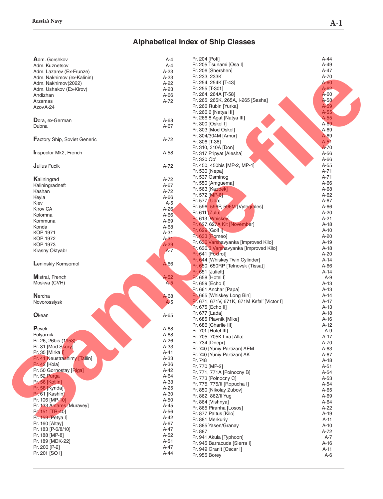## **Alphabetical Index of Ship Classes**

| Adm. Gorshkov                | $A-4$   | Pr. 204 [Poti]                              | A-44   |
|------------------------------|---------|---------------------------------------------|--------|
| Adm. Kuznetsov               | $A - 4$ | Pr. 205 Tsunami [Osa I]                     | $A-49$ |
| Adm. Lazarev (Ex-Frunze)     | $A-23$  | Pr. 206 [Shershen]                          | A-47   |
| Adm. Nakhimov (ex-Kalinin)   | $A-23$  | Pr. 233, 233K                               | A-70   |
| Adm. Nakhimov(2022)          | $A-22$  | Pr. 254, 254K [T-43]                        | A-60   |
|                              | $A-23$  | Pr. 255 [T-301]                             | $A-62$ |
| Adm. Ushakov (Ex-Kirov)      |         | Pr. 264, 264A [T-58]                        | A-60   |
| Andizhan                     | $A-66$  | Pr. 265, 265K, 265A, I-265 [Sasha]          | $A-58$ |
| Arzamas                      | $A-72$  |                                             | $A-59$ |
| Azov A-24                    |         | Pr. 266 Rubin [Yurka]                       |        |
|                              |         | Pr. 266.6 [Natya III]                       | $A-55$ |
| Dora, ex-German              | A-68    | Pr. 266.8 Agat [Natya III]                  | $A-55$ |
| Dubna                        | A-67    | Pr. 300 [Oskol I]                           | $A-69$ |
|                              |         | Pr. 303 [Mod Oskol]                         | A-69   |
| Factory Ship, Soviet Generic | A-72    | Pr. 304/304M [Amur]                         | A-69   |
|                              |         | Pr. 306 [T-38]                              | $A-51$ |
|                              |         | Pr. 310, 310A [Don]                         | $A-70$ |
| Inspector Mk2, French        | A-58    | Pr. 317 Pripyat [Alesha]                    | A-56   |
|                              |         | Pr. 320 Ob'                                 | $A-66$ |
| Julius Fucik                 | A-72    | Pr. 450, 450bis [MP-2, MP-4]                | $A-55$ |
|                              |         | Pr. 530 [Nepa]                              | $A-71$ |
|                              |         | Pr. 537 Osminog                             | $A-71$ |
| Kaliningrad                  | A-72    | Pr. 550 [Amguema]                           | $A-66$ |
| Kaliningradneft              | A-67    | Pr. 563 [Kazbek]                            | A-68   |
| Kashan                       | $A-72$  |                                             | $A-62$ |
| Keyla                        | $A-66$  | Pr. 572 [MP-6]                              |        |
| Kiev                         | $A-5$   | Pr. 577 [Uda]                               | A-67   |
| <b>Kirov CA</b>              | $A-26$  | Pr. 596, 596P, 596M [Vytegrales]            | $A-66$ |
| Kolomna                      | $A-66$  | Pr. 611 [Zulu]                              | $A-20$ |
| Kommuna                      | $A-69$  | Pr. 613 [Whiskey]                           | $A-21$ |
| Konda                        | A-68    | Pr. 627, 627A Kit [November]                | $A-18$ |
| <b>KOP 1971</b>              | $A-31$  | Pr. 629 [Golf I]                            | $A-10$ |
| <b>KOP 1972</b>              | $A-31$  | Pr. 633 [Romeo]                             | $A-20$ |
| <b>KOP 1973</b>              | $A-29$  | Pr. 636 Varshavyanka [Improved Kilo]        | $A-19$ |
|                              | $A-7$   | Pr. 636.3 Varshavyanka [Improved Kilo]      | $A-18$ |
| Krasny Oktyabr               |         | Pr. 641 [Foxtrot]                           | $A-20$ |
|                              |         | Pr. 644 [Whiskey Twin Cylinder]             | $A-14$ |
| Leninskiy Komsomol           | $A-66$  | Pr. 650, 650RP [Telnovsk (Tissa)]           | $A-66$ |
|                              |         | Pr. 651 [Juliett]                           | $A-14$ |
| <b>Mistral, French</b>       | A-52    | Pr. 658 [Hotel I]                           | $A-9$  |
| Moskva (CVH)                 | $A-5$   | Pr. 659 [Echo I]                            | $A-13$ |
|                              |         | Pr. 661 Anchar [Papa]                       | $A-13$ |
|                              |         | <b>Pr.</b> 665 [Whiskey Long Bin]           | $A-14$ |
| Nercha                       | A-68    |                                             |        |
| Novorossiysk                 | $A-5$   | Pr. 671, 671V, 671K, 671M Kefal' [Victor I] | $A-17$ |
|                              |         | Pr. 675 [Echo II]                           | $A-13$ |
| Okean                        | $A-65$  | Pr. 677 [Lada]                              | $A-18$ |
|                              |         | Pr. 685 Plavnik [Mike]                      | $A-16$ |
| $P$ evek                     |         | Pr. 686 [Charlie III]                       | $A-12$ |
|                              | $A-68$  | Pr. 701 [Hotel III]                         | $A-9$  |
| Polyarnik                    | A-68    | Pr. 705, 705K Lira [Alfa]                   | $A-17$ |
| Pr. 26, 26bis (1953)         | $A-26$  | Pr. 734 [Dnepr]                             | A-70   |
| Pr. 31 [Mod Skory]           | $A-33$  | Pr. 740 [Yuniy Partizan] AEM                | $A-63$ |
| Pr. 35 [Mirka I]             | $A-41$  | Pr. 740 [Yuniy Partizan] AK                 | A-67   |
| Pr. 41 Neustrashimy [Tallin] | $A-33$  | Pr. 748                                     | $A-18$ |
| Pr. 42 [Kola]                | $A-36$  | Pr. 770 [MP-2]                              | $A-51$ |
| Pr. 50 Gornostay [Riga]      | $A-42$  | Pr. 771, 771A [Polnocny B]                  | $A-54$ |
| Pr. 52 Purga                 | $A-64$  | Pr. 773 [Polnocny C]                        | $A-53$ |
| Pr. 56 [Kotlin]              | $A-33$  | Pr. 775, 775/II [Ropucha I]                 | $A-54$ |
| Pr. 58 [Kynda]               | $A-25$  |                                             |        |
| Pr. 61 [Kashin]              | $A-30$  | Pr. 850 [Nikolay Zubov]                     | $A-65$ |
| Pr. 106 [MP-10]              | $A-50$  | Pr. 862, 862/II Yug                         | A-69   |
| Pr. 133 Antares [Muravey]    | $A-45$  | Pr. 864 [Vishnya]                           | $A-64$ |
| Pr. 151 [TR-40]              |         | Pr. 865 Piranha [Losos]                     | $A-22$ |
|                              | A-56    | Pr. 877 Paltus [Kilo]                       | $A-19$ |
| Pr. 159 [Petya I]            | $A-42$  | Pr. 881 Merkuriy                            | $A-11$ |
| Pr. 160 [Altay]              | A-67    | Pr. 885 Yasen/Granay                        | $A-10$ |
| Pr. 183 [P-6/8/10]           | A-47    | Pr. 887                                     | A-72   |
| Pr. 188 [MP-8]               | $A-52$  | Pr. 941 Akula [Typhoon]                     | $A-7$  |
| Pr. 189 [MDK-22]             | $A-51$  | Pr. 945 Barracuda [Sierra I]                | $A-16$ |
| Pr. 200 [P-2]                | A-47    | Pr. 949 Granit [Oscar I]                    | A-11   |
| Pr. 201 [SO I]               | $A-44$  | Pr. 955 Borey                               | $A-6$  |
|                              |         |                                             |        |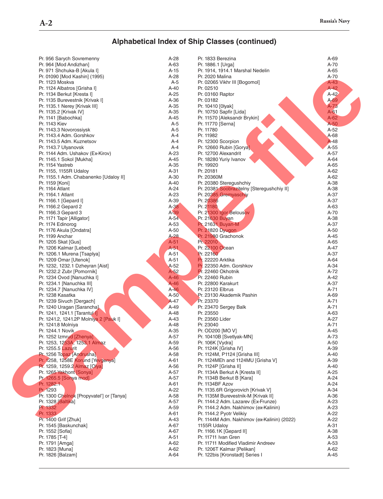## **Alphabetical Index of Ship Classes (continued)**

| Pr. 956 Sarych Sovremenny                 | $A-28$ | Pr. 1833 Berezina                           | A-69   |
|-------------------------------------------|--------|---------------------------------------------|--------|
| Pr. 964 [Mod Andizhan]                    | $A-63$ | Pr. 1886.1 [Urga]                           | A-70   |
| Pr. 971 Shchuka-B [Akula I]               | $A-15$ | Pr. 1914, 1914.1 Marshal Nedelin            | $A-65$ |
| Pr. 01090 [Mod Kashin] (1995)             | $A-28$ | Pr. 2020 Malina                             | A-70   |
| Pr. 1123 Moskva                           | $A-5$  | Pr. 02065 Vikhr III [Bogomol]               | $A-43$ |
| Pr. 1124 Albatros [Grisha I]              | $A-40$ | Pr. 02510                                   | $A-42$ |
| Pr. 1134 Berkut [Kresta I]                | $A-25$ | Pr. 03160 Raptor                            | $A-42$ |
| Pr. 1135 Burevestnik [Krivak I]           | A-36   | Pr. 03182                                   | $A-69$ |
| Pr. 1135.1 Nerey [Krivak III]             | $A-35$ | Pr. 10410 [0lyak]                           | $A-73$ |
| Pr. 1135.2 [Krivak IV]                    | $A-35$ | Pr. 10750 Sapfir [Lida]                     | $A-61$ |
| Pr. 1141 [Babochka]                       | $A-45$ | Pr. 11570 [Aleksandr Brykin]                | $A-62$ |
| Pr. 1143 Kiev                             | $A-5$  | Pr. 11770 [Serna]                           | $A-50$ |
| Pr. 1143.3 Novorossiysk                   | $A-5$  | Pr. 11780                                   | $A-52$ |
| Pr. 1143.4 Adm. Gorshkov                  | A-4    | Pr. 11982                                   | $A-68$ |
| Pr. 1143.5 Adm. Kuznetsov                 | $A-4$  | Pr. 12300 Scorpion                          | A-48   |
| Pr. 1143.7 Ulyanovsk                      | $A-4$  | Pr. 12660 Rubin [Gorya]                     | A-55   |
| Pr. 1144 Adm. Ushakov (Ex-Kirov)          | $A-23$ | Pr. 12700 Alexandrit                        | A-57   |
| Pr. 1145.1 Sokol [Mukha]                  | $A-45$ | Pr. 18280 Yuriy Ivanov                      | $A-64$ |
|                                           | $A-35$ |                                             | $A-65$ |
| Pr. 1154 Yastreb                          |        | Pr. 19920                                   |        |
| Pr. 1155, 1155R Udaloy                    | $A-31$ | Pr. 20181                                   | $A-62$ |
| Pr. 1155.1 Adm. Chabanenko [Udaloy II]    | $A-30$ | Pr. 20360M                                  | $A-62$ |
| Pr. 1159 [Koni]                           | $A-40$ | Pr. 20380 Steregushchiv                     | $A-38$ |
| Pr. 1164 Atlant                           | $A-24$ | Pr. 20381 Soobrazitelny [Steregushchiy II]  | $A-38$ |
| Pr. 1164.1 Atlant                         | $A-23$ | Pr. 20385 Gremyaschiy                       | $A-37$ |
| Pr. 1166.1 [Gepard I]                     | A-39   | Pr. 20386                                   | A-37   |
| Pr. 1166.2 Gepard 2                       | $A-38$ | Pr. 21180                                   | $A-63$ |
| Pr. 1166.3 Gepard 3                       | $A-39$ | Pr. 21300 Igor Belousov                     | A-70   |
| Pr. 1171 Tapir [Alligator]                | $A-54$ | Pr. 21630 Buyan                             | $A-38$ |
| Pr. 1174 Edinorog                         | $A-53$ | <b>Pr. 21631 Buyan-M</b>                    | A-37   |
| Pr. 1176 Akula [Ondatra]                  | $A-50$ | Pr. 21820 Dyugon                            | $A-50$ |
| Pr. 1199 Anchar                           | $A-28$ | Pr. 21980 Grachonok                         | $A-45$ |
| Pr. 1205 Skat [Gus]                       | $A-51$ | Pr. 22010                                   | $A-65$ |
| Pr. 1206 Kalmar [Lebed]                   | $A-51$ | Pr. 22100 Ocean                             | A-47   |
| Pr. 1206.1 Murena [Tsaplya]               | $A-51$ | Pr. 22160                                   | A-37   |
| Pr. 1209 Omar [Utenok]                    | $A-51$ | Pr. 22220 Arktika                           | A-64   |
| Pr. 1232, 1232.1 Dzheyran [Aist]          | $A-52$ | Pr. 22350 Adm. Gorshkov                     | $A-34$ |
| Pr. 1232.2 Zubr [Pomornik]                | $A-52$ | Pr. 22460 Okhotnik                          | A-72   |
| Pr. 1234 Ovod [Nanuchka I]                | $A-46$ | Pr. 22460 Rubin                             | A-42   |
| Pr. 1234.1 [Nanuchka III]                 | $A-46$ | Pr. 22800 Karakurt                          | $A-37$ |
| Pr. 1234.7 [Nanuchka IV]                  | $A-46$ | Pr. 23120 Elbrus                            | A-71   |
|                                           |        | Pr. 23130 Akademik Pashin                   |        |
| Pr. 1238 Kasatka                          | $A-50$ |                                             | A-69   |
| Pr. 1239 Sivuch [Dergach]                 | $A-47$ | Pr. 23370                                   | A-71   |
| Pr. 1240 Uragan [Sarancha]                | A-49   | Pr. 23470 Sergey Balk                       | $A-71$ |
| Pr. 1241, 1241.1 [Tarantul 1]             | $A-48$ | Pr. 23550                                   | $A-63$ |
| Pr. 1241.2, 1241.2P Molniya 2 [Pauk I]    | $A-43$ | Pr. 23560 Lider                             | $A-27$ |
| Pr. 1241.8 Molniya                        | $A-48$ | Pr. 23040                                   | A-71   |
| Pr. 1244.1 Novik                          | A-35   | Pr. OD200 [MO V]                            | $A-45$ |
| Pr. 1252 Izmrud [Zhenya]                  | $A-57$ | Pr. 10410B [Svetlyak-MN]                    | A-73   |
| Pr. 1253, 1253A, 1253.1 Almaz             | A-59   | Pr. 106K [Vydra]                            | $A-50$ |
| Pr. 1255.5 Lazurit                        | $A-56$ | Pr. 1124K [Grisha IV]                       | $A-39$ |
| Pr. 1256 Topaz [Andrusha]                 | A-58   | Pr. 1124M, P1124 [Grisha III]               | $A-40$ |
| Pr. 1258, 1258E Korund [Yevgenya]         | $A-61$ | Pr. 1124MEh and 1124MU [Grisha V]           | $A-39$ |
| Pr. 1259, 1259.2 Almaz [Olya]             | $A-56$ | Pr. 1124P [Grisha II]                       | $A-40$ |
| Pr. 1265 Yakhont [Sonya]                  | A-57   | Pr. 1134A Berkut A [Kresta II]              | $A-25$ |
| Pr. 1265.5 [Sonya mod]                    | $A-57$ | Pr. 1134B Berkut B [Kara]                   | $A-24$ |
| Pr. 1282.1                                | $A-61$ | Pr. 1134BF Azov                             | $A-24$ |
| Pr. 1293                                  | $A-22$ | Pr. 1135.6R Grigorovich [Krivak V]          | $A-34$ |
| Pr. 1300 Chelnok [Propyvatel'] or [Tanya] | A-58   | Pr. 1135M Burevestnik-M [Krivak II]         | $A-36$ |
| Pr. 1328 [Baltika]                        | A-57   | Pr. 1144.2 Adm. Lazarev (Ex-Frunze)         | $A-23$ |
| Pr. 1332                                  | A-59   | Pr. 1144.2 Adm. Nakhimov (ex-Kalinin)       | $A-23$ |
| Pr. 1333                                  | $A-61$ | Pr. 1144.2 Pyotr Velikiy                    | $A-22$ |
| Pr. 1400 Grif [Zhuk]                      | $A-43$ | Pr. 1144M Adm. Nakhimov (ex-Kalinin) (2022) | $A-22$ |
| Pr. 1545 [Baskunchak]                     | A-67   | 1155R Udaloy                                | $A-31$ |
|                                           | A-67   | Pr. 1166.1K [Gepard II]                     | $A-38$ |
| Pr. 1552 [Sofia]                          | $A-51$ | Pr. 11711 Ivan Gren                         | $A-53$ |
| Pr. 1785 [T-4]                            |        |                                             |        |
| Pr. 1791 [Amga]                           | $A-62$ | Pr. 11711 Modified Vladimir Andreev         | $A-53$ |
| Pr. 1823 [Muna]                           | $A-62$ | Pr. 1206T Kalmar [Pelikan]                  | A-62   |
| Pr. 1826 [Balzam]                         | A-64   | Pr. 122bis [Kronstadt] Series I             | $A-45$ |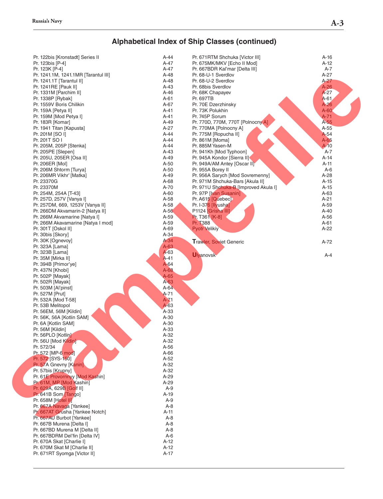## **Alphabetical Index of Ship Classes (continued)**

| Pr. 122bis [Kronstadt] Series II     | A-44     | Pr. 671RTM Shchuka [Victor III]       | $A-16$ |
|--------------------------------------|----------|---------------------------------------|--------|
|                                      | $A-47$   |                                       |        |
| Pr. 123bis [P-4]                     |          | Pr. 675MK/MKV [Echo II Mod]           | $A-12$ |
| Pr. 123K [P-4]                       | $A-47$   | Pr. 667BDR Kal'mar [Delta III]        | $A-7$  |
| Pr. 1241.1M, 1241.1MR [Tarantul III] | $A-48$   | Pr. 68-U-1 Sverdlov                   | $A-27$ |
| Pr. 1241.1T [Tarantul II]            | $A-48$   | Pr. 68-U-2 Sverdlov                   | $A-27$ |
| Pr. 1241RE [Pauk II]                 | $A-43$   | Pr. 68bis Sverdlov                    | $A-26$ |
| Pr. 1331M [Parchim II]               | $A-46$   | Pr. 68K Chapayev                      | $A-27$ |
| Pr. 1338P [Rybak]                    | $A-61$   | Pr. 697TB                             | $A-61$ |
| Pr. 1559V Boris Chilikin             | $A-67$   | Pr. 70E Dzerzhinsky                   | $A-26$ |
| Pr. 159A [Petya II]                  | $A-41$   | Pr. 73K Polukhin                      | $A-60$ |
| Pr. 159M [Mod Petya I]               | $A-41$   | Pr. 745P Sorum                        | $A-71$ |
| Pr. 183R [Komar]                     | $A-49$   | Pr. 770D, 770M, 770T [Polnocny A]     | $A-55$ |
| Pr. 1941 Titan [Kapusta]             | $A-27$   | Pr. 770MA [Polnocny A]                | $A-55$ |
| Pr. 201M [SO I]                      | $A-44$   | Pr. 775M [Ropucha II]                 | A-54   |
| Pr. 201T SO I                        |          |                                       |        |
|                                      | $A-44$   | $Pr. 861M$ [Moma]                     | $A-65$ |
| Pr. 205M, 205P [Stenka]              | $A-44$   | Pr. 885M Yasen-M                      | $A-10$ |
| Pr. 205PE [Slepen]                   | $A-43$   | Pr. 941Kh [Mod Typhoon]               | $A-7$  |
| Pr. 205U, 205ER [Osa II]             | $A-49$   | Pr. 945A Kondor [Sierra II]           | $A-14$ |
| Pr. 206ER [Mol]                      | $A-50$   | Pr. 949A/AM Antey [Oscar II]          | $A-11$ |
| Pr. 206M Shtorm [Turya]              | $A-50$   | Pr. 955A Borey II                     | $A-6$  |
| Pr. 206MR Vikhr' [Matka]             | $A-49$   | Pr. 956A Sarych [Mod Sovremenny]      | $A-28$ |
| Pr. 23370G                           | A-68     | Pr. 971M Shchuka-Bars [Akula II]      | $A-15$ |
| Pr. 23370M                           | A-70     | Pr. 971U Shchuka-B [Improved Akula I] | $A-15$ |
| Pr. 254M, 254A [T-43]                | $A-60$   | Pr. 97P [Ivan Susanin]                | $A-63$ |
| Pr. 257D, 257V [Vanya I]             | A-58     | Pr. A615 [Quebec]                     | $A-21$ |
| Pr. 257DM, 669, 1253V [Vanya II]     | A-58     | Pr. I-376 [Ilyusha]                   | A-59   |
|                                      |          |                                       |        |
| Pr. 266DM Akvamarin-2 [Natya II]     | $A-56$   | P1124 [Grisha III]                    | $A-40$ |
| Pr. 266M Akvamarine [Natya I]        | A-59     | Pr. T361 [K-8]                        | A-56   |
| Pr. 266M Akavamarine [Natya I mod]   | A-59     | Pr. T388                              | A-61   |
| Pr. 301T [Oskol II]                  | A-69     | <b>Pyotr Velikiy</b>                  | $A-22$ |
| Pr. 30bis [Skory]                    | $A-34$   |                                       |        |
| Pr. 30K [Ognevoy]                    | $A-34$   | <b>Trawler, Soviet Generic</b>        | A-72   |
| Pr. 323A [Lama]                      | $A-63$   |                                       |        |
| Pr. 323B [Lama]                      | A-63     |                                       |        |
| Pr. 35M [Mirka II]                   | $A-41$   | <b>Ulyanovsk</b>                      | $A-4$  |
| Pr. 394B [Primor'ye]                 | $A-64$   |                                       |        |
| Pr. 437N [Khobi]                     | $A-68$   |                                       |        |
| Pr. 502P [Mayak]                     | $A-65$   |                                       |        |
|                                      | A-63     |                                       |        |
| Pr. 502R [Mayak]                     |          |                                       |        |
| Pr. 503M [Al'pinst]                  | $A-64$   |                                       |        |
| Pr. 527M [Prut]                      | $A - 71$ |                                       |        |
| Pr. 532A [Mod T-58]                  | $A - 71$ |                                       |        |
| Pr. 53B Melitopol                    | A-63     |                                       |        |
| Pr. 56EM, 56M [Kildin]               | A-33     |                                       |        |
| Pr. 56K, 56A [Kotlin SAM]            | A-30     |                                       |        |
| Pr. 6A [Kotlin SAM]                  | $A-30$   |                                       |        |
| Pr. 56M [Kildin]                     | A-33     |                                       |        |
| Pr. 56PLO [Kotlin]                   | A-32     |                                       |        |
| Pr. 56U [Mod Kildin]                 | $A-32$   |                                       |        |
| Pr. 572/34                           | $A-56$   |                                       |        |
| Pr. 572 [MP-6 mod]                   | $A-66$   |                                       |        |
| Pr. 572 [SYS-150]                    | $A-52$   |                                       |        |
| Pr. 57A Gnevny [Kanin]               | $A-32$   |                                       |        |
|                                      |          |                                       |        |
| Pr. 57bis [Krupny]                   | $A-32$   |                                       |        |
| Pr. 61E Provornnyy [Mod Kashin]      | $A-29$   |                                       |        |
| Pr. 61M, MP [Mod Kashin]             | $A-29$   |                                       |        |
| Pr. 629A, 629B [Golf II]             | $A-9$    |                                       |        |
| Pr. 641B Som [Tango]                 | A-19     |                                       |        |
| Pr. 658M [Hotel II]                  | $A-9$    |                                       |        |
| Pr. 667A Navaga [Yankee]             | $A-8$    |                                       |        |
| Pr. 667AT Grusha [Yankee Notch]      | A-11     |                                       |        |
| Pr. 667AU Burbot [Yankee]            | $A-8$    |                                       |        |
| Pr. 667B Murena [Delta I]            | $A-8$    |                                       |        |
| Pr. 667BD Murena M [Delta II]        | $A-8$    |                                       |        |
| Pr. 667BDRM Del'fin [Delta IV]       | $A-6$    |                                       |        |
| Pr. 670A Skat [Charlie I]            | $A-12$   |                                       |        |
|                                      |          |                                       |        |
| Pr. 670M Skat M [Charlie II]         | $A-12$   |                                       |        |
| Pr. 671RT Syomga [Victor II]         | $A-17$   |                                       |        |